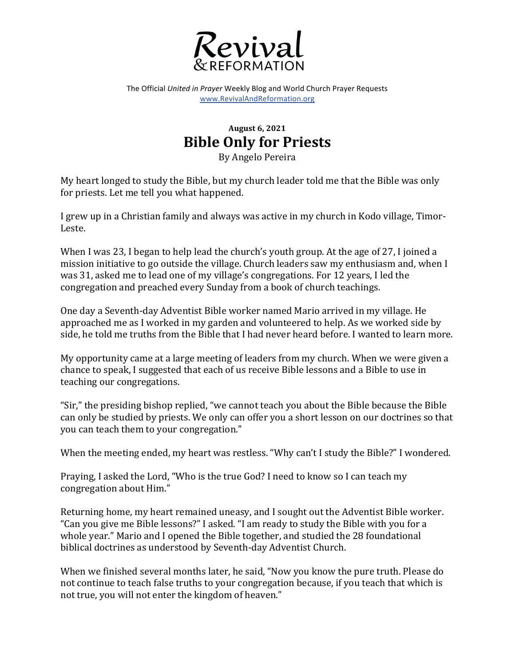

The Official *United in Prayer* Weekly Blog and World Church Prayer Requests www.RevivalAndReformation.org

## **August 6, 2021 Bible Only for Priests**

By Angelo Pereira

My heart longed to study the Bible, but my church leader told me that the Bible was only for priests. Let me tell you what happened.

I grew up in a Christian family and always was active in my church in Kodo village, Timor-Leste.

When I was 23, I began to help lead the church's youth group. At the age of 27, I joined a mission initiative to go outside the village. Church leaders saw my enthusiasm and, when I was 31, asked me to lead one of my village's congregations. For 12 years, I led the congregation and preached every Sunday from a book of church teachings.

One day a Seventh-day Adventist Bible worker named Mario arrived in my village. He approached me as I worked in my garden and volunteered to help. As we worked side by side, he told me truths from the Bible that I had never heard before. I wanted to learn more.

My opportunity came at a large meeting of leaders from my church. When we were given a chance to speak, I suggested that each of us receive Bible lessons and a Bible to use in teaching our congregations.

"Sir," the presiding bishop replied, "we cannot teach you about the Bible because the Bible can only be studied by priests. We only can offer you a short lesson on our doctrines so that you can teach them to your congregation."

When the meeting ended, my heart was restless. "Why can't I study the Bible?" I wondered.

Praying, I asked the Lord, "Who is the true God? I need to know so I can teach my congregation about Him."

Returning home, my heart remained uneasy, and I sought out the Adventist Bible worker. "Can you give me Bible lessons?" I asked. "I am ready to study the Bible with you for a whole year." Mario and I opened the Bible together, and studied the 28 foundational biblical doctrines as understood by Seventh-day Adventist Church.

When we finished several months later, he said, "Now you know the pure truth. Please do not continue to teach false truths to your congregation because, if you teach that which is not true, you will not enter the kingdom of heaven."